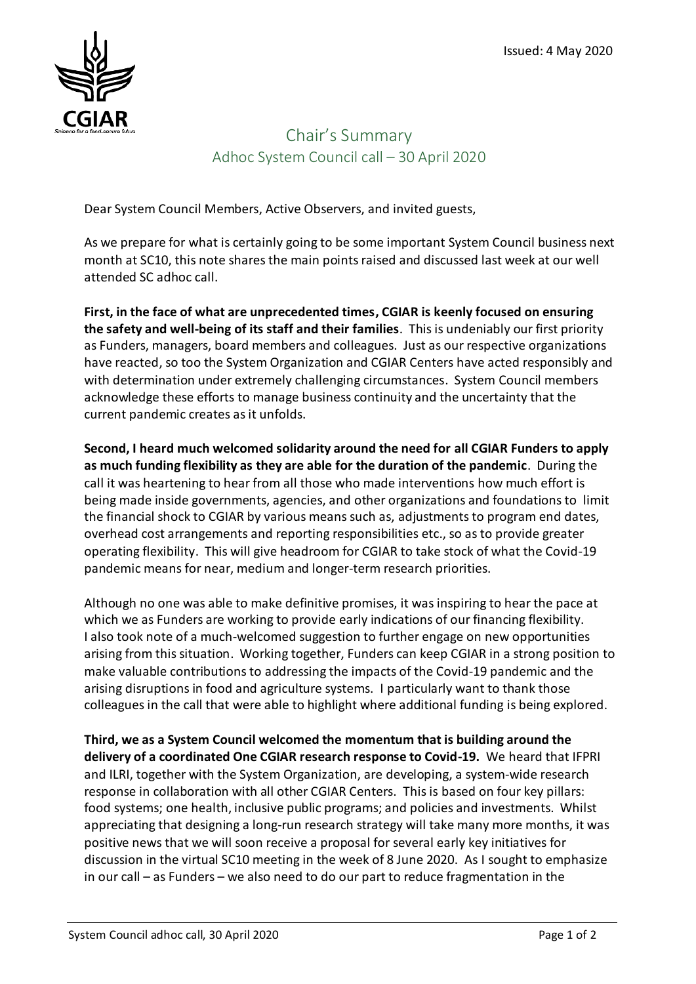

## Chair's Summary Adhoc System Council call – 30 April 2020

Dear System Council Members, Active Observers, and invited guests,

As we prepare for what is certainly going to be some important System Council business next month at SC10, this note shares the main points raised and discussed last week at our well attended SC adhoc call.

**First, in the face of what are unprecedented times, CGIAR is keenly focused on ensuring the safety and well-being of its staff and their families**.This is undeniably our first priority as Funders, managers, board members and colleagues. Just as our respective organizations have reacted, so too the System Organization and CGIAR Centers have acted responsibly and with determination under extremely challenging circumstances. System Council members acknowledge these efforts to manage business continuity and the uncertainty that the current pandemic creates as it unfolds.

**Second, I heard much welcomed solidarity around the need for all CGIAR Funders to apply as much funding flexibility as they are able for the duration of the pandemic**. During the call it was heartening to hear from all those who made interventions how much effort is being made inside governments, agencies, and other organizations and foundations to limit the financial shock to CGIAR by various means such as, adjustments to program end dates, overhead cost arrangements and reporting responsibilities etc., so as to provide greater operating flexibility. This will give headroom for CGIAR to take stock of what the Covid-19 pandemic means for near, medium and longer-term research priorities.

Although no one was able to make definitive promises, it was inspiring to hear the pace at which we as Funders are working to provide early indications of our financing flexibility. I also took note of a much-welcomed suggestion to further engage on new opportunities arising from this situation. Working together, Funders can keep CGIAR in a strong position to make valuable contributions to addressing the impacts of the Covid-19 pandemic and the arising disruptions in food and agriculture systems. I particularly want to thank those colleagues in the call that were able to highlight where additional funding is being explored.

**Third, we as a System Council welcomed the momentum that is building around the delivery of a coordinated One CGIAR research response to Covid-19.** We heard that IFPRI and ILRI, together with the System Organization, are developing, a system-wide research response in collaboration with all other CGIAR Centers. This is based on four key pillars: food systems; one health, inclusive public programs; and policies and investments. Whilst appreciating that designing a long-run research strategy will take many more months, it was positive news that we will soon receive a proposal for several early key initiatives for discussion in the virtual SC10 meeting in the week of 8 June 2020. As I sought to emphasize in our call – as Funders – we also need to do our part to reduce fragmentation in the